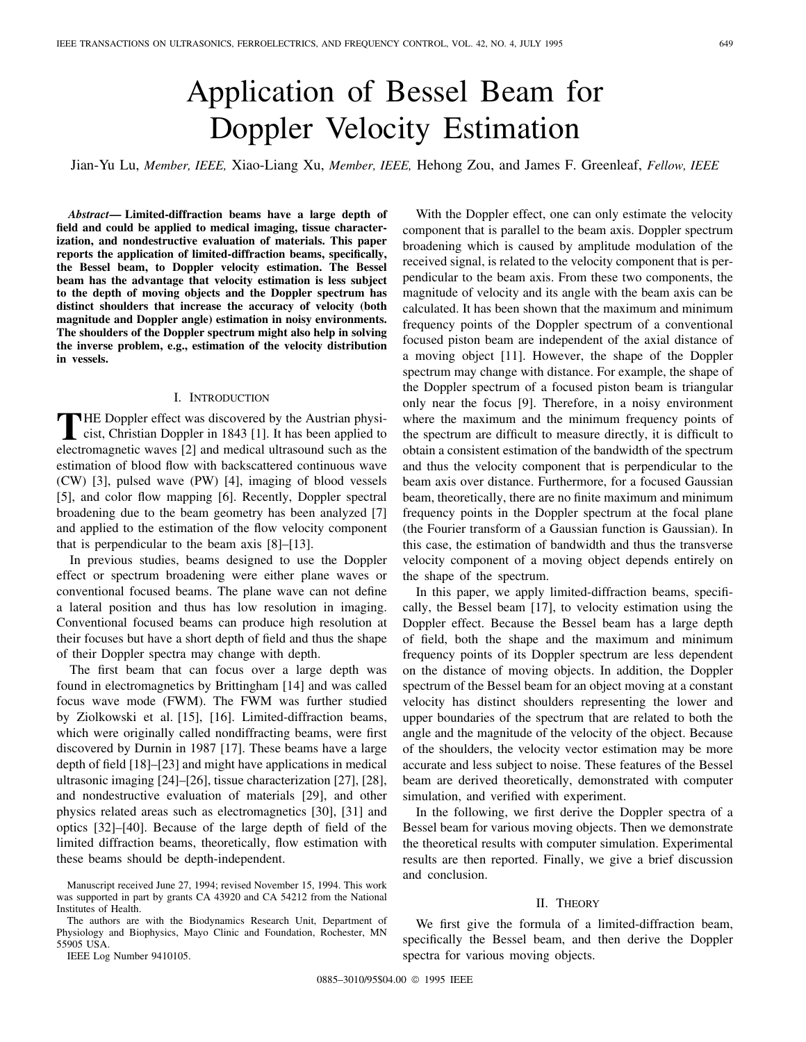# Application of Bessel Beam for Doppler Velocity Estimation

Jian-Yu Lu, *Member, IEEE,* Xiao-Liang Xu, *Member, IEEE,* Hehong Zou, and James F. Greenleaf, *Fellow, IEEE*

*Abstract—* **Limited-diffraction beams have a large depth of field and could be applied to medical imaging, tissue characterization, and nondestructive evaluation of materials. This paper reports the application of limited-diffraction beams, specifically, the Bessel beam, to Doppler velocity estimation. The Bessel beam has the advantage that velocity estimation is less subject to the depth of moving objects and the Doppler spectrum has distinct shoulders that increase the accuracy of velocity (both magnitude and Doppler angle) estimation in noisy environments. The shoulders of the Doppler spectrum might also help in solving the inverse problem, e.g., estimation of the velocity distribution in vessels.**

#### I. INTRODUCTION

THE Doppler effect was discovered by the Austrian physicist, Christian Doppler in 1843 [1]. It has been applied to electromagnetic waves [2] and medical ultrasound such as the estimation of blood flow with backscattered continuous wave (CW) [3], pulsed wave (PW) [4], imaging of blood vessels [5], and color flow mapping [6]. Recently, Doppler spectral broadening due to the beam geometry has been analyzed [7] and applied to the estimation of the flow velocity component that is perpendicular to the beam axis [8]–[13].

In previous studies, beams designed to use the Doppler effect or spectrum broadening were either plane waves or conventional focused beams. The plane wave can not define a lateral position and thus has low resolution in imaging. Conventional focused beams can produce high resolution at their focuses but have a short depth of field and thus the shape of their Doppler spectra may change with depth.

The first beam that can focus over a large depth was found in electromagnetics by Brittingham [14] and was called focus wave mode (FWM). The FWM was further studied by Ziolkowski et al. [15], [16]. Limited-diffraction beams, which were originally called nondiffracting beams, were first discovered by Durnin in 1987 [17]. These beams have a large depth of field [18]–[23] and might have applications in medical ultrasonic imaging [24]–[26], tissue characterization [27], [28], and nondestructive evaluation of materials [29], and other physics related areas such as electromagnetics [30], [31] and optics [32]–[40]. Because of the large depth of field of the limited diffraction beams, theoretically, flow estimation with these beams should be depth-independent.

IEEE Log Number 9410105.

With the Doppler effect, one can only estimate the velocity component that is parallel to the beam axis. Doppler spectrum broadening which is caused by amplitude modulation of the received signal, is related to the velocity component that is perpendicular to the beam axis. From these two components, the magnitude of velocity and its angle with the beam axis can be calculated. It has been shown that the maximum and minimum frequency points of the Doppler spectrum of a conventional focused piston beam are independent of the axial distance of a moving object [11]. However, the shape of the Doppler spectrum may change with distance. For example, the shape of the Doppler spectrum of a focused piston beam is triangular only near the focus [9]. Therefore, in a noisy environment where the maximum and the minimum frequency points of the spectrum are difficult to measure directly, it is difficult to obtain a consistent estimation of the bandwidth of the spectrum and thus the velocity component that is perpendicular to the beam axis over distance. Furthermore, for a focused Gaussian beam, theoretically, there are no finite maximum and minimum frequency points in the Doppler spectrum at the focal plane (the Fourier transform of a Gaussian function is Gaussian). In this case, the estimation of bandwidth and thus the transverse velocity component of a moving object depends entirely on the shape of the spectrum.

In this paper, we apply limited-diffraction beams, specifically, the Bessel beam [17], to velocity estimation using the Doppler effect. Because the Bessel beam has a large depth of field, both the shape and the maximum and minimum frequency points of its Doppler spectrum are less dependent on the distance of moving objects. In addition, the Doppler spectrum of the Bessel beam for an object moving at a constant velocity has distinct shoulders representing the lower and upper boundaries of the spectrum that are related to both the angle and the magnitude of the velocity of the object. Because of the shoulders, the velocity vector estimation may be more accurate and less subject to noise. These features of the Bessel beam are derived theoretically, demonstrated with computer simulation, and verified with experiment.

In the following, we first derive the Doppler spectra of a Bessel beam for various moving objects. Then we demonstrate the theoretical results with computer simulation. Experimental results are then reported. Finally, we give a brief discussion and conclusion.

## II. THEORY

We first give the formula of a limited-diffraction beam, specifically the Bessel beam, and then derive the Doppler spectra for various moving objects.

Manuscript received June 27, 1994; revised November 15, 1994. This work was supported in part by grants CA 43920 and CA 54212 from the National Institutes of Health.

The authors are with the Biodynamics Research Unit, Department of Physiology and Biophysics, Mayo Clinic and Foundation, Rochester, MN 55905 USA.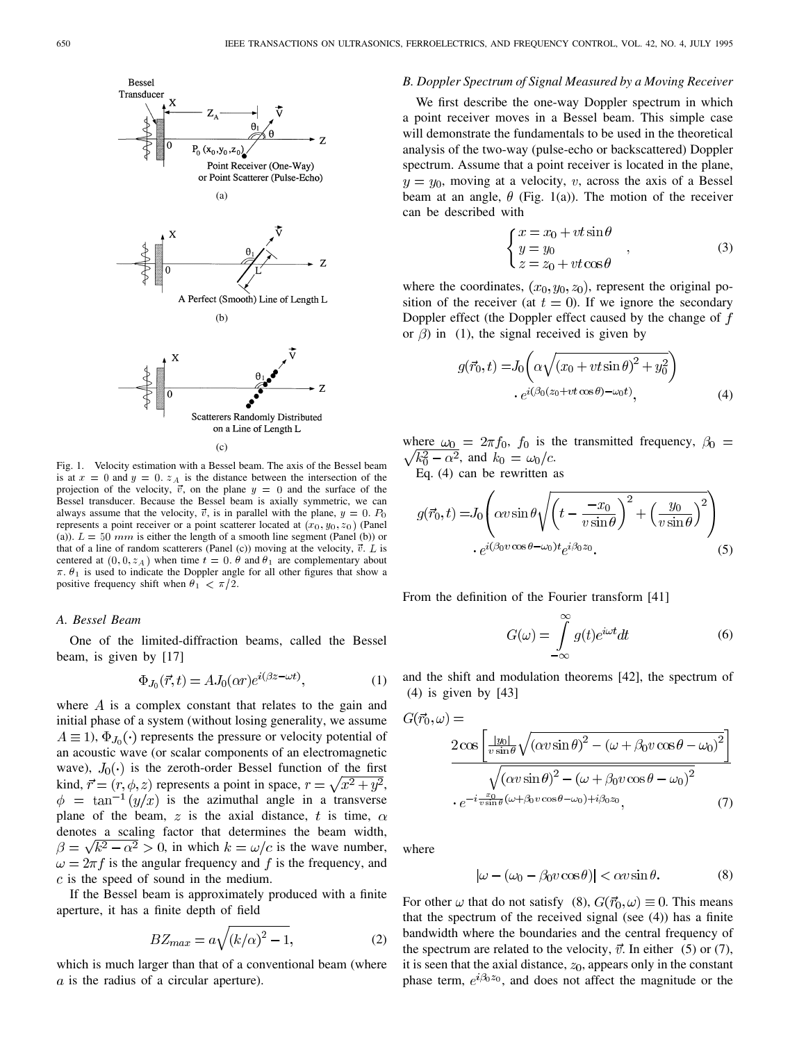

(c)

Fig. 1. Velocity estimation with a Bessel beam. The axis of the Bessel beam is at  $x = 0$  and  $y = 0$ .  $z_A$  is the distance between the intersection of the projection of the velocity,  $\vec{v}$ , on the plane  $y = 0$  and the surface of the Bessel transducer. Because the Bessel beam is axially symmetric, we can always assume that the velocity,  $\vec{v}$ , is in parallel with the plane,  $y = 0$ .  $P_0$ represents a point receiver or a point scatterer located at  $(x_0, y_0, z_0)$  (Panel (a)).  $L = 50$  mm is either the length of a smooth line segment (Panel (b)) or that of a line of random scatterers (Panel (c)) moving at the velocity,  $\vec{v}$ . L is centered at  $(0, 0, z_A)$  when time  $t = 0$ .  $\theta$  and  $\theta_1$  are complementary about  $\pi$ .  $\theta_1$  is used to indicate the Doppler angle for all other figures that show a positive frequency shift when  $\theta_1 < \pi/2$ .

# *A. Bessel Beam*

One of the limited-diffraction beams, called the Bessel beam, is given by [17]

$$
\Phi_{J_0}(\vec{r},t) = AJ_0(\alpha r)e^{i(\beta z - \omega t)},\tag{1}
$$

where  $\vec{A}$  is a complex constant that relates to the gain and initial phase of a system (without losing generality, we assume  $A \equiv 1$ ),  $\Phi_{J_0}(\cdot)$  represents the pressure or velocity potential of an acoustic wave (or scalar components of an electromagnetic wave),  $J_0(\cdot)$  is the zeroth-order Bessel function of the first kind,  $\vec{r} = (r, \phi, z)$  represents a point in space,  $r = \sqrt{x^2 + y^2}$ ,  $\phi = \tan^{-1}(y/x)$  is the azimuthal angle in a transverse plane of the beam, z is the axial distance, t is time,  $\alpha$ denotes a scaling factor that determines the beam width,  $\beta = \sqrt{k^2 - \alpha^2} > 0$ , in which  $k = \omega/c$  is the wave number,  $\omega = 2\pi f$  is the angular frequency and f is the frequency, and  $c$  is the speed of sound in the medium.

If the Bessel beam is approximately produced with a finite aperture, it has a finite depth of field

$$
BZ_{max} = a\sqrt{(k/\alpha)^2 - 1},\tag{2}
$$

which is much larger than that of a conventional beam (where  $a$  is the radius of a circular aperture).

#### *B. Doppler Spectrum of Signal Measured by a Moving Receiver*

We first describe the one-way Doppler spectrum in which a point receiver moves in a Bessel beam. This simple case will demonstrate the fundamentals to be used in the theoretical analysis of the two-way (pulse-echo or backscattered) Doppler spectrum. Assume that a point receiver is located in the plane,  $y = y_0$ , moving at a velocity, v, across the axis of a Bessel beam at an angle,  $\theta$  (Fig. 1(a)). The motion of the receiver can be described with

$$
\begin{cases}\n x = x_0 + vt \sin \theta \\
y = y_0 \\
z = z_0 + vt \cos \theta\n\end{cases}
$$
\n(3)

where the coordinates,  $(x_0, y_0, z_0)$ , represent the original position of the receiver (at  $t = 0$ ). If we ignore the secondary Doppler effect (the Doppler effect caused by the change of  $f$ or  $\beta$ ) in (1), the signal received is given by

$$
g(\vec{r}_0, t) = J_0 \left( \alpha \sqrt{(x_0 + vt \sin \theta)^2 + y_0^2} \right)
$$

$$
e^{i(\beta_0 (z_0 + vt \cos \theta) - \omega_0 t)}, \tag{4}
$$

where  $\omega_0 = 2\pi f_0$ ,  $f_0$  is the transmitted frequency,  $\beta_0 =$  $\sqrt{k_0^2 - \alpha^2}$ , and  $k_0 = \omega_0/c$ .

Eq. 
$$
(4)
$$
 can be rewritten as

$$
g(\vec{r}_0, t) = J_0 \left( \alpha v \sin \theta \sqrt{\left( t - \frac{-x_0}{v \sin \theta} \right)^2 + \left( \frac{y_0}{v \sin \theta} \right)^2} \right) \cdot e^{i(\beta_0 v \cos \theta - \omega_0)t} e^{i\beta_0 z_0}.
$$
 (5)

From the definition of the Fourier transform [41]

$$
G(\omega) = \int_{-\infty}^{\infty} g(t)e^{i\omega t}dt
$$
 (6)

and the shift and modulation theorems [42], the spectrum of (4) is given by [43]

$$
G(\vec{r}_0, \omega) =
$$
  
\n
$$
2 \cos \left[ \frac{|y_0|}{v \sin \theta} \sqrt{(\alpha v \sin \theta)^2 - (\omega + \beta_0 v \cos \theta - \omega_0)^2} \right]
$$
  
\n
$$
\sqrt{(\alpha v \sin \theta)^2 - (\omega + \beta_0 v \cos \theta - \omega_0)^2}
$$
  
\n
$$
\cdot e^{-i \frac{x_0}{v \sin \theta} (\omega + \beta_0 v \cos \theta - \omega_0) + i \beta_0 z_0},
$$
 (7)

where

$$
|\omega - (\omega_0 - \beta_0 v \cos \theta)| < \alpha v \sin \theta.
$$
 (8)

For other  $\omega$  that do not satisfy (8),  $G(\vec{r}_0, \omega) \equiv 0$ . This means that the spectrum of the received signal (see (4)) has a finite bandwidth where the boundaries and the central frequency of the spectrum are related to the velocity,  $\vec{v}$ . In either (5) or (7), it is seen that the axial distance,  $z_0$ , appears only in the constant phase term,  $e^{i\beta_0 z_0}$ , and does not affect the magnitude or the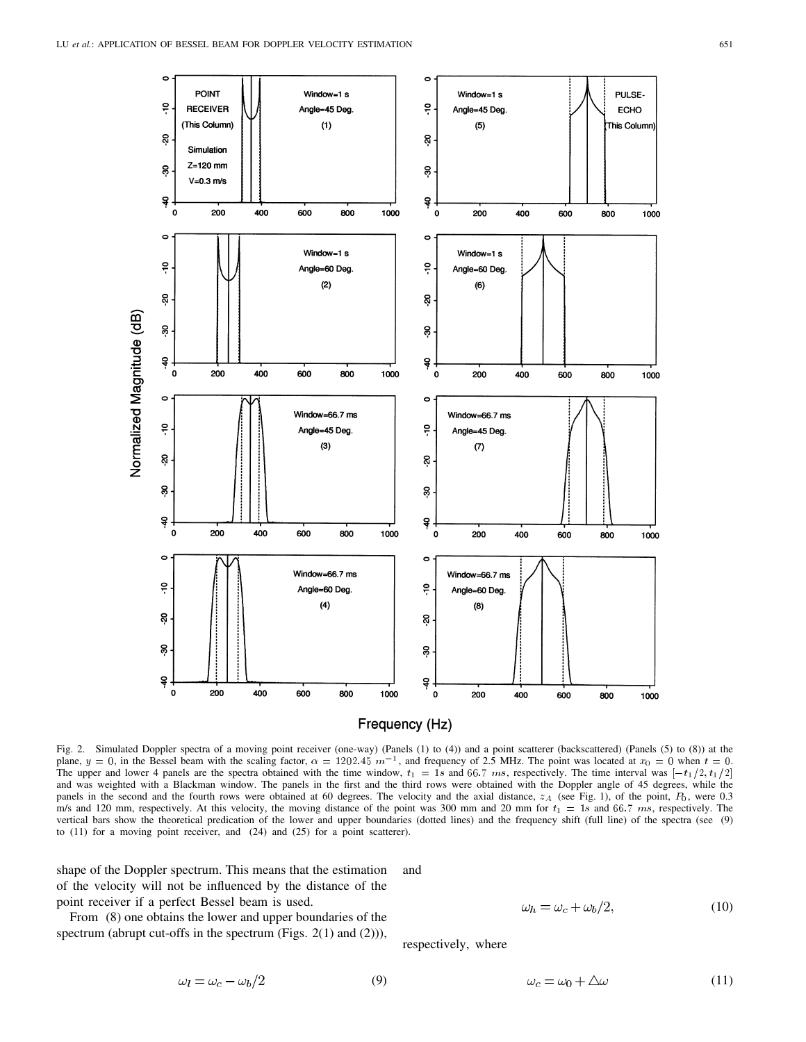

Fig. 2. Simulated Doppler spectra of a moving point receiver (one-way) (Panels (1) to (4)) and a point scatterer (backscattered) (Panels (5) to (8)) at the **FIEQUENCY (HZ)**<br>Fig. 2. Simulated Doppler spectra of a moving point receiver (one-way) (Panels (1) to (4)) and a point scatterer (backscattered) (Panels (5) to (8)) at the<br>plane,  $y = 0$ , in the Bessel beam with the scali and was weighted with a Blackman window. The panels in the first and the third rows were obtained with the Doppler angle of 45 degrees, while the panels in the second and the fourth rows were obtained at 60 degrees. The velocity and the axial distance,  $z_A$  (see Fig. 1), of the point,  $P_0$ , were 0.3 m/s and 120 mm, respectively. At this velocity, the moving distance of the point was 300 mm and 20 mm for  $t_1 = 1s$  and 66.7 ms, respectively. The vertical bars show the theoretical predication of the lower and upper boundaries (dotted lines) and the frequency shift (full line) of the spectra (see (9) to (11) for a moving point receiver, and (24) and (25) for a point scatterer).

shape of the Doppler spectrum. This means that the estimation of the velocity will not be influenced by the distance of the point receiver if a perfect Bessel beam is used.

From (8) one obtains the lower and upper boundaries of the spectrum (abrupt cut-offs in the spectrum (Figs. 2(1) and (2))),

 $\omega_l = \omega_c - \omega_b/2$ 

and

(9)

$$
\omega_h = \omega_c + \omega_b/2,\tag{10}
$$

respectively, where

$$
\omega_c = \omega_0 + \Delta\omega \tag{11}
$$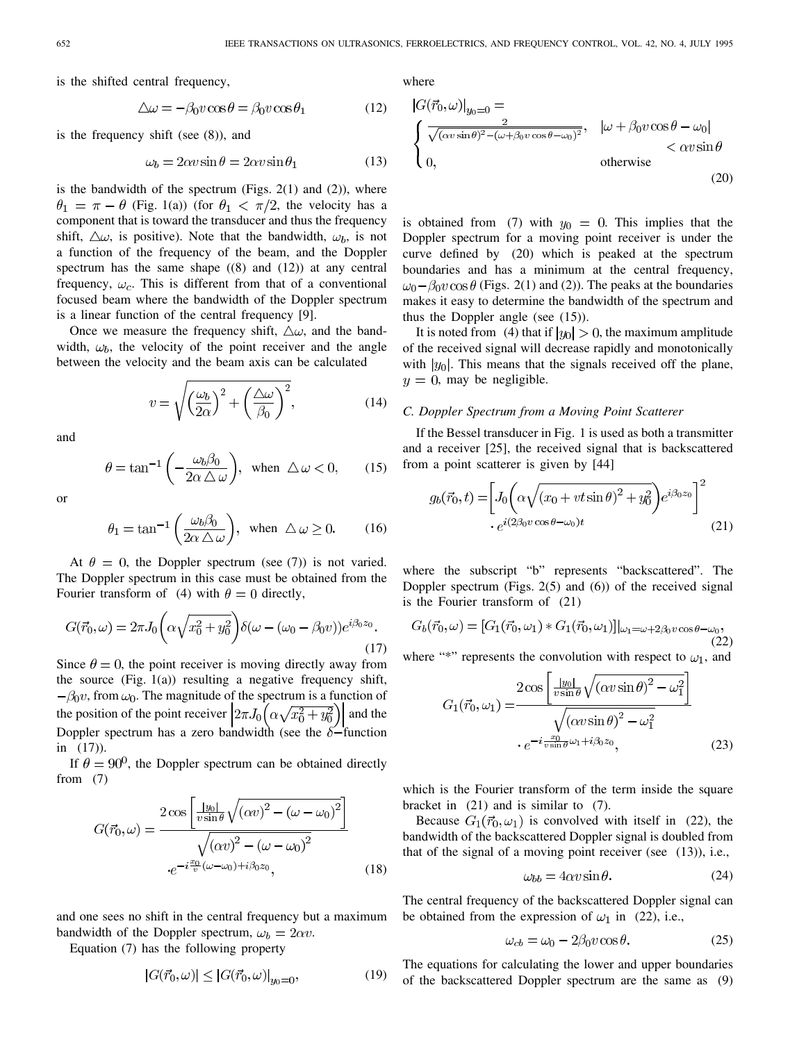is the shifted central frequency,

$$
\Delta \omega = -\beta_0 v \cos \theta = \beta_0 v \cos \theta_1 \tag{12}
$$

is the frequency shift (see (8)), and

$$
\omega_b = 2\alpha v \sin \theta = 2\alpha v \sin \theta_1 \tag{13}
$$

is the bandwidth of the spectrum (Figs.  $2(1)$  and  $(2)$ ), where  $\theta_1 = \pi - \theta$  (Fig. 1(a)) (for  $\theta_1 < \pi/2$ , the velocity has a component that is toward the transducer and thus the frequency shift,  $\Delta\omega$ , is positive). Note that the bandwidth,  $\omega_b$ , is not a function of the frequency of the beam, and the Doppler spectrum has the same shape  $((8)$  and  $(12))$  at any central frequency,  $\omega_c$ . This is different from that of a conventional focused beam where the bandwidth of the Doppler spectrum is a linear function of the central frequency [9].

Once we measure the frequency shift,  $\Delta\omega$ , and the bandwidth,  $\omega_b$ , the velocity of the point receiver and the angle between the velocity and the beam axis can be calculated

$$
v = \sqrt{\left(\frac{\omega_b}{2\alpha}\right)^2 + \left(\frac{\Delta\omega}{\beta_0}\right)^2},\tag{14}
$$

and

$$
\theta = \tan^{-1}\left(-\frac{\omega_b \beta_0}{2\alpha \Delta \omega}\right), \text{ when } \Delta \omega < 0, \qquad (15)
$$

or

$$
\theta_1 = \tan^{-1}\left(\frac{\omega_b \beta_0}{2\alpha \,\Delta\,\omega}\right), \text{ when } \Delta\,\omega \ge 0. \quad (16)
$$

At  $\theta = 0$ , the Doppler spectrum (see (7)) is not varied. The Doppler spectrum in this case must be obtained from the Fourier transform of (4) with  $\theta = 0$  directly,

$$
G(\vec{r}_0,\omega) = 2\pi J_0 \left(\alpha \sqrt{x_0^2 + y_0^2}\right) \delta(\omega - (\omega_0 - \beta_0 v)) e^{i\beta_0 z_0}.
$$
\n(17)

Since  $\theta = 0$ , the point receiver is moving directly away from the source  $(Fig. 1(a))$  resulting a negative frequency shift,  $-\beta_0 v$ , from  $\omega_0$ . The magnitude of the spectrum is a function of the position of the point receiver  $\left|2\pi J_0\right| \alpha \sqrt{x_0^2 + y_0^2}$  and the Doppler spectrum has a zero bandwidth (see the  $\delta$ -function in (17)).

If  $\theta = 90^{\circ}$ , the Doppler spectrum can be obtained directly from (7)

$$
G(\vec{r}_0, \omega) = \frac{2 \cos \left[\frac{|y_0|}{v \sin \theta} \sqrt{(\alpha v)^2 - (\omega - \omega_0)^2}\right]}{\sqrt{(\alpha v)^2 - (\omega - \omega_0)^2}}
$$

$$
e^{-i\frac{x_0}{v}(\omega - \omega_0) + i\beta_0 z_0}, \qquad (18)
$$

and one sees no shift in the central frequency but a maximum bandwidth of the Doppler spectrum,  $\omega_b = 2\alpha v$ .

Equation (7) has the following property

$$
|G(\vec{r}_0, \omega)| \le |G(\vec{r}_0, \omega)|_{y_0=0},
$$
\n(19)

where

$$
|G(\vec{r}_0, \omega)|_{y_0=0} = \sqrt{\frac{2}{\sqrt{(\alpha v \sin \theta)^2 - (\omega + \beta_0 v \cos \theta - \omega_0)^2}}}, \quad |\omega + \beta_0 v \cos \theta - \omega_0| < \alpha v \sin \theta < \alpha v \sin \theta
$$
  
\n0, otherwise (20)

is obtained from (7) with  $y_0 = 0$ . This implies that the Doppler spectrum for a moving point receiver is under the curve defined by (20) which is peaked at the spectrum boundaries and has a minimum at the central frequency,  $\omega_0 - \beta_0 v \cos \theta$  (Figs. 2(1) and (2)). The peaks at the boundaries makes it easy to determine the bandwidth of the spectrum and thus the Doppler angle (see (15)).

It is noted from (4) that if  $|y_0| > 0$ , the maximum amplitude of the received signal will decrease rapidly and monotonically with  $|y_0|$ . This means that the signals received off the plane,  $y = 0$ , may be negligible.

## *C. Doppler Spectrum from a Moving Point Scatterer*

If the Bessel transducer in Fig. 1 is used as both a transmitter and a receiver [25], the received signal that is backscattered from a point scatterer is given by [44]

$$
g_b(\vec{r}_0, t) = \left[ J_0 \left( \alpha \sqrt{(x_0 + vt \sin \theta)^2 + y_0^2} \right) e^{i\beta_0 z_0} \right]^2
$$
  
. 
$$
e^{i(2\beta_0 v \cos \theta - \omega_0)t}
$$
 (21)

where the subscript "b" represents "backscattered". The Doppler spectrum (Figs. 2(5) and (6)) of the received signal is the Fourier transform of (21)

$$
G_b(\vec{r}_0, \omega) = [G_1(\vec{r}_0, \omega_1) * G_1(\vec{r}_0, \omega_1)]|_{\omega_1 = \omega + 2\beta_0 v \cos \theta - \omega_0},
$$
\n(22)

where "\*" represents the convolution with respect to  $\omega_1$ , and

$$
G_1(\vec{r}_0, \omega_1) = \frac{2 \cos\left[\frac{y_0|}{v \sin \theta} \sqrt{(\alpha v \sin \theta)^2 - \omega_1^2}\right]}{\sqrt{(\alpha v \sin \theta)^2 - \omega_1^2}} \cdot e^{-i \frac{x_0}{v \sin \theta} \omega_1 + i \beta_0 z_0},
$$
(23)

which is the Fourier transform of the term inside the square bracket in (21) and is similar to (7).

Because  $G_1(\vec{r}_0, \omega_1)$  is convolved with itself in (22), the bandwidth of the backscattered Doppler signal is doubled from that of the signal of a moving point receiver (see (13)), i.e.,

$$
\omega_{bb} = 4\alpha v \sin \theta. \tag{24}
$$

The central frequency of the backscattered Doppler signal can be obtained from the expression of  $\omega_1$  in (22), i.e.,

$$
\omega_{cb} = \omega_0 - 2\beta_0 v \cos \theta. \tag{25}
$$

The equations for calculating the lower and upper boundaries of the backscattered Doppler spectrum are the same as (9)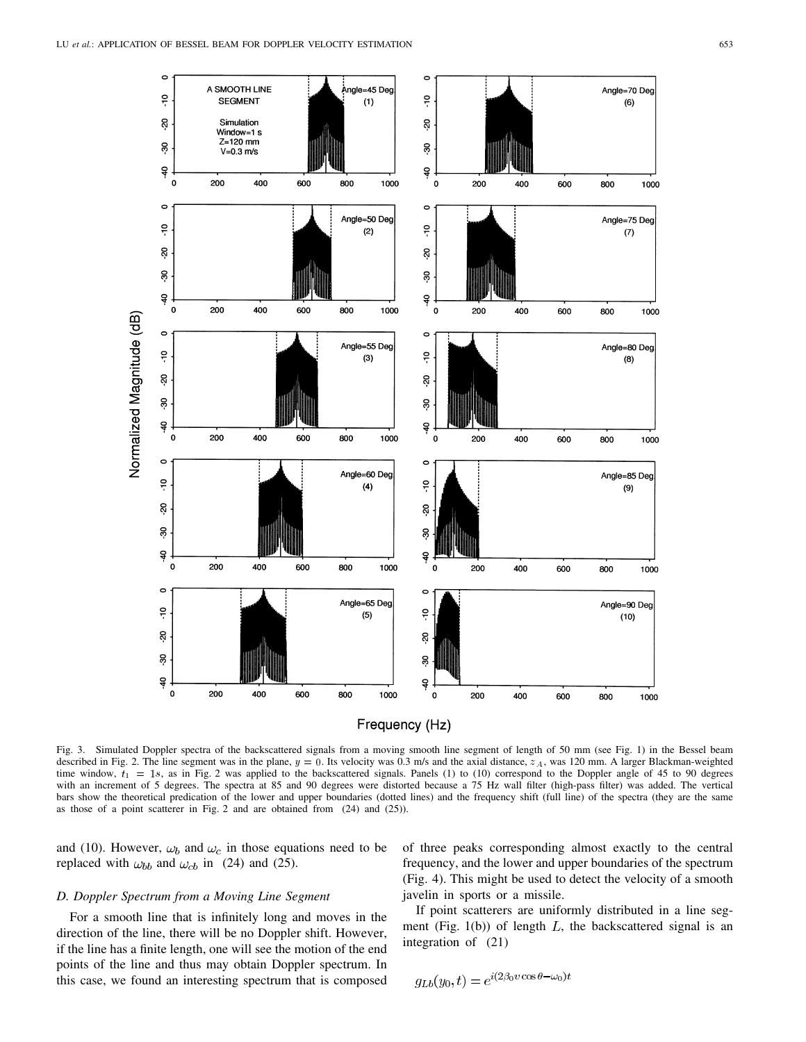



Fig. 3. Simulated Doppler spectra of the backscattered signals from a moving smooth line segment of length of 50 mm (see Fig. 1) in the Bessel beam described in Fig. 2. The line segment was in the plane,  $y = 0$ . Its velocity was 0.3 m/s and the axial distance,  $z_A$ , was 120 mm. A larger Blackman-weighted time window,  $t_1 = 1s$ , as in Fig. 2 was applied to the backscattered signals. Panels (1) to (10) correspond to the Doppler angle of 45 to 90 degrees with an increment of 5 degrees. The spectra at 85 and 90 degrees were distorted because a 75 Hz wall filter (high-pass filter) was added. The vertical bars show the theoretical predication of the lower and upper boundaries (dotted lines) and the frequency shift (full line) of the spectra (they are the same as those of a point scatterer in Fig. 2 and are obtained from (24) and (25)).

and (10). However,  $\omega_b$  and  $\omega_c$  in those equations need to be replaced with  $\omega_{bb}$  and  $\omega_{cb}$  in (24) and (25).

# *D. Doppler Spectrum from a Moving Line Segment*

For a smooth line that is infinitely long and moves in the direction of the line, there will be no Doppler shift. However, if the line has a finite length, one will see the motion of the end points of the line and thus may obtain Doppler spectrum. In this case, we found an interesting spectrum that is composed

of three peaks corresponding almost exactly to the central frequency, and the lower and upper boundaries of the spectrum (Fig. 4). This might be used to detect the velocity of a smooth javelin in sports or a missile.

If point scatterers are uniformly distributed in a line segment (Fig. 1(b)) of length  $L$ , the backscattered signal is an integration of (21)

$$
g_{Lb}(y_0, t) = e^{i(2\beta_0 v \cos \theta - \omega_0)t}
$$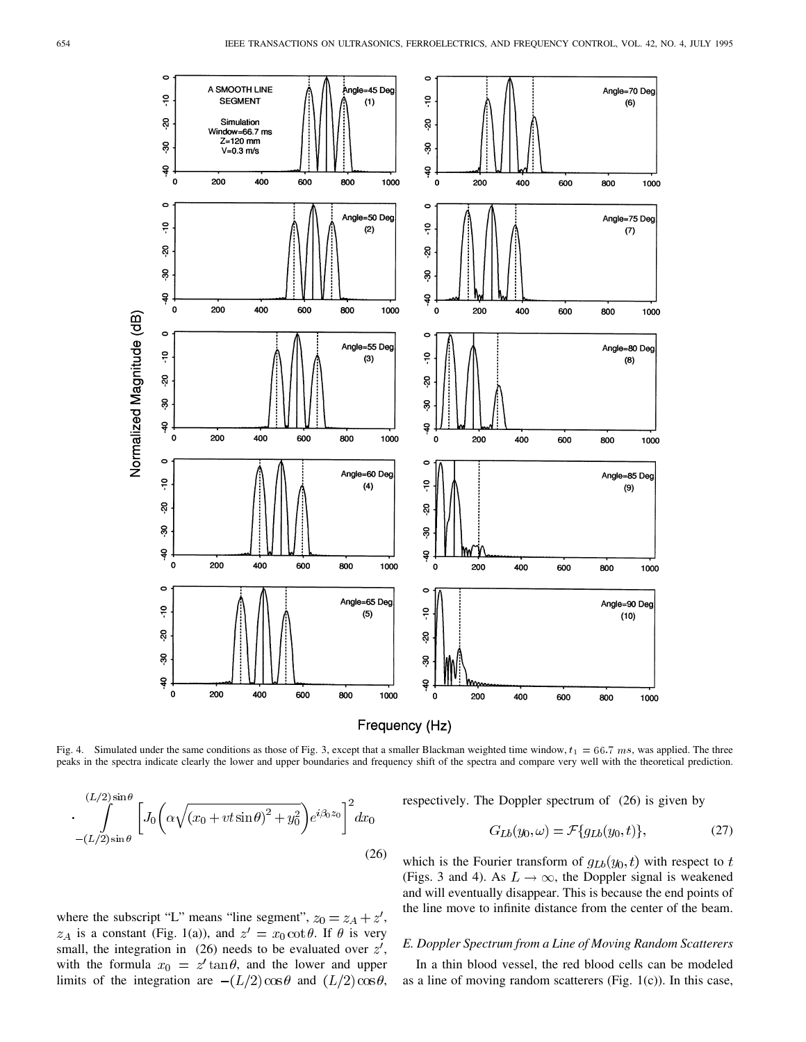



Fig. 4. Simulated under the same conditions as those of Fig. 3, except that a smaller Blackman weighted time window,  $t_1 = 66.7$  ms, was applied. The three peaks in the spectra indicate clearly the lower and upper boundaries and frequency shift of the spectra and compare very well with the theoretical prediction.

$$
\cdot \int\limits_{-(L/2)\sin\theta}^{(L/2)\sin\theta} \left[ J_0 \left( \alpha \sqrt{(x_0 + vt\sin\theta)^2 + y_0^2} \right) e^{i\beta_0 z_0} \right]^2 dx_0
$$
\n
$$
(26)
$$

respectively. The Doppler spectrum of (26) is given by

$$
G_{Lb}(y_0, \omega) = \mathcal{F}\lbrace g_{Lb}(y_0, t) \rbrace,
$$
 (27)

which is the Fourier transform of  $g_{Lb}(y_0, t)$  with respect to  $t$ (Figs. 3 and 4). As  $L \rightarrow \infty$ , the Doppler signal is weakened and will eventually disappear. This is because the end points of the line move to infinite distance from the center of the beam.

## *E. Doppler Spectrum from a Line of Moving Random Scatterers*

In a thin blood vessel, the red blood cells can be modeled as a line of moving random scatterers (Fig.  $1(c)$ ). In this case,

where the subscript "L" means "line segment", 
$$
z_0 = z_A + z'
$$
,  
  $z_A$  is a constant (Fig. 1(a)), and  $z' = x_0 \cot \theta$ . If  $\theta$  is very  
small, the integration in (26) needs to be evaluated over  $z'$ ,  
with the formula  $x_0 = z' \tan \theta$ , and the lower and upper  
limits of the integration are  $-(L/2)\cos \theta$  and  $(L/2)\cos \theta$ ,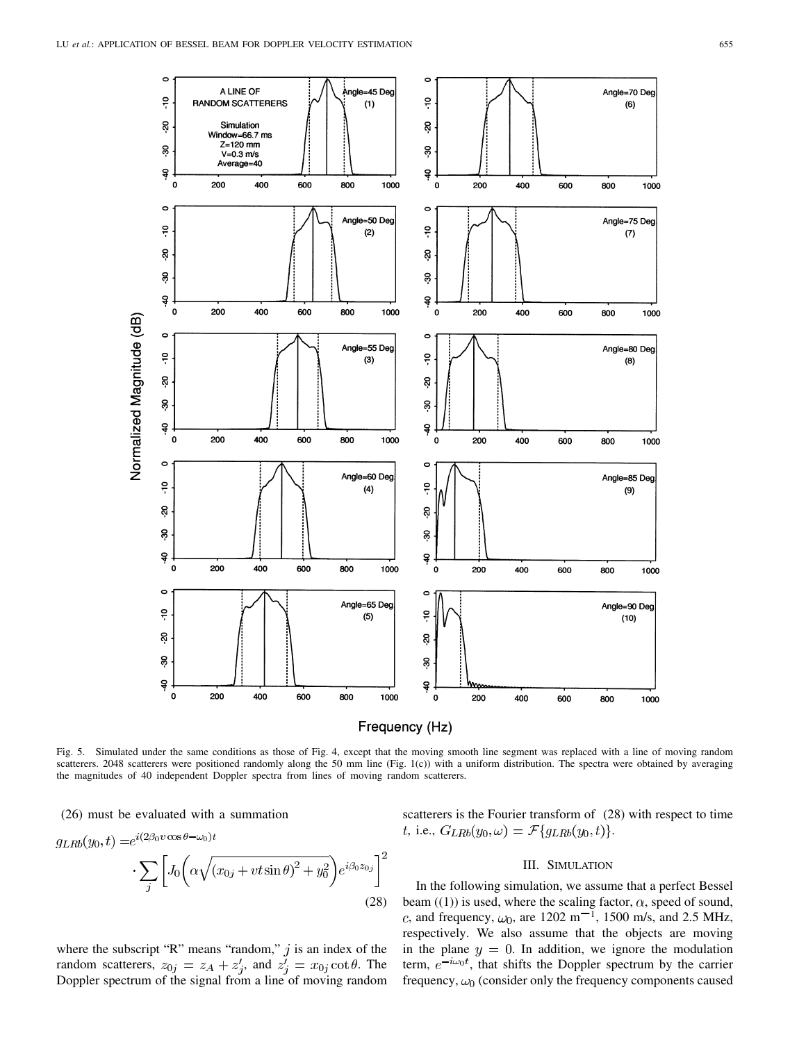

Frequency (Hz)

Fig. 5. Simulated under the same conditions as those of Fig. 4, except that the moving smooth line segment was replaced with a line of moving random scatterers. 2048 scatterers were positioned randomly along the 50 mm line (Fig. 1(c)) with a uniform distribution. The spectra were obtained by averaging the magnitudes of 40 independent Doppler spectra from lines of moving random scatterers.

(26) must be evaluated with a summation

$$
g_{LRb}(y_0, t) = e^{i(2\beta_0 v \cos \theta - \omega_0)t} \cdot \sum_j \left[ J_0 \left( \alpha \sqrt{(x_{0j} + vt \sin \theta)^2 + y_0^2} \right) e^{i\beta_0 z_{0j}} \right]^2
$$
\n(28)

where the subscript "R" means "random,"  $j$  is an index of the random scatterers,  $z_{0j} = z_A + z'_i$ , and  $z'_i = x_{0j} \cot \theta$ . The Doppler spectrum of the signal from a line of moving random scatterers is the Fourier transform of (28) with respect to time t, i.e.,  $G_{LRb}(y_0, \omega) = \mathcal{F}{g_{LRb}(y_0, t)}.$ 

#### III. SIMULATION

In the following simulation, we assume that a perfect Bessel beam  $((1))$  is used, where the scaling factor,  $\alpha$ , speed of sound, c, and frequency,  $\omega_0$ , are 1202 m<sup>-1</sup>, 1500 m/s, and 2.5 MHz, respectively. We also assume that the objects are moving in the plane  $y = 0$ . In addition, we ignore the modulation term,  $e^{-i\omega_0 t}$ , that shifts the Doppler spectrum by the carrier frequency,  $\omega_0$  (consider only the frequency components caused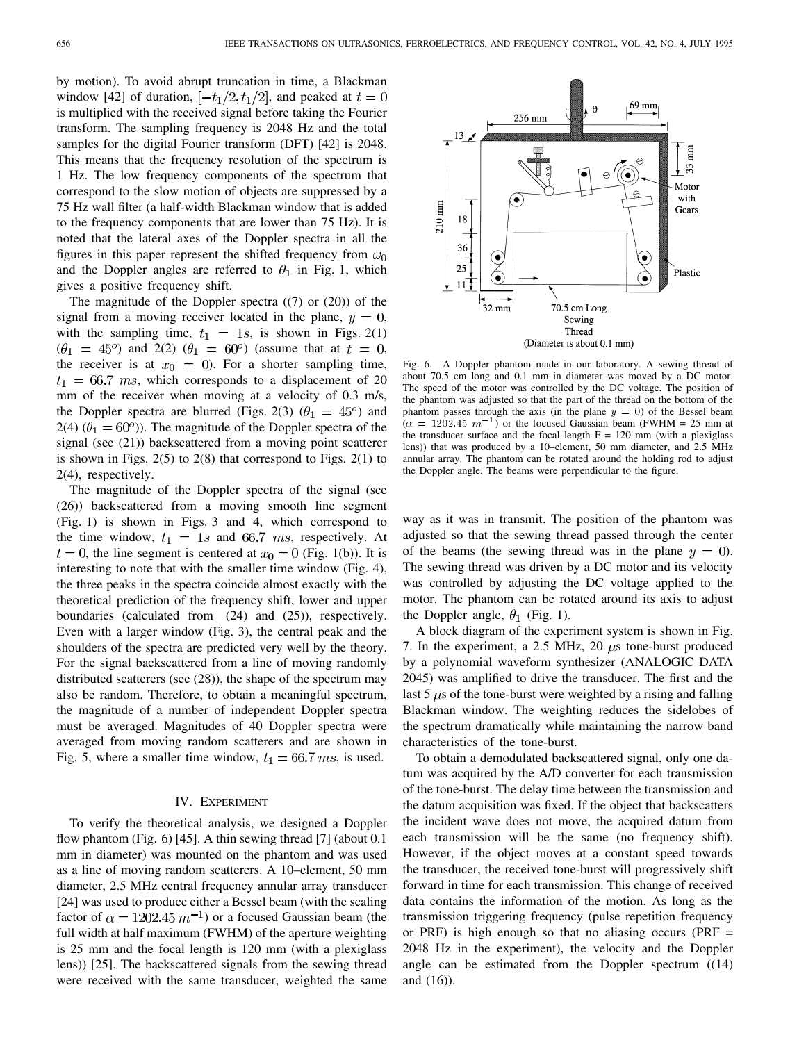by motion). To avoid abrupt truncation in time, a Blackman window [42] of duration,  $[-t_1/2, t_1/2]$ , and peaked at  $t = 0$ is multiplied with the received signal before taking the Fourier transform. The sampling frequency is 2048 Hz and the total samples for the digital Fourier transform (DFT) [42] is 2048. This means that the frequency resolution of the spectrum is 1 Hz. The low frequency components of the spectrum that correspond to the slow motion of objects are suppressed by a 75 Hz wall filter (a half-width Blackman window that is added to the frequency components that are lower than 75 Hz). It is noted that the lateral axes of the Doppler spectra in all the figures in this paper represent the shifted frequency from  $\omega_0$ and the Doppler angles are referred to  $\theta_1$  in Fig. 1, which gives a positive frequency shift.

The magnitude of the Doppler spectra  $(7)$  or  $(20)$  of the signal from a moving receiver located in the plane,  $y = 0$ , with the sampling time,  $t_1 = 1s$ , is shown in Figs. 2(1)  $(\theta_1 = 45^{\circ})$  and 2(2)  $(\theta_1 = 60^{\circ})$  (assume that at  $t = 0$ , the receiver is at  $x_0 = 0$ . For a shorter sampling time,  $t_1 = 66.7$  ms, which corresponds to a displacement of 20 mm of the receiver when moving at a velocity of 0.3 m/s, the Doppler spectra are blurred (Figs. 2(3)  $(\theta_1 = 45^{\circ})$  and 2(4)  $(\theta_1 = 60^\circ)$ ). The magnitude of the Doppler spectra of the signal (see (21)) backscattered from a moving point scatterer is shown in Figs.  $2(5)$  to  $2(8)$  that correspond to Figs.  $2(1)$  to 2(4), respectively.

The magnitude of the Doppler spectra of the signal (see (26)) backscattered from a moving smooth line segment (Fig. 1) is shown in Figs. 3 and 4, which correspond to the time window,  $t_1 = 1s$  and 66.7 ms, respectively. At  $t = 0$ , the line segment is centered at  $x<sub>0</sub> = 0$  (Fig. 1(b)). It is interesting to note that with the smaller time window (Fig. 4), the three peaks in the spectra coincide almost exactly with the theoretical prediction of the frequency shift, lower and upper boundaries (calculated from (24) and (25)), respectively. Even with a larger window (Fig. 3), the central peak and the shoulders of the spectra are predicted very well by the theory. For the signal backscattered from a line of moving randomly distributed scatterers (see (28)), the shape of the spectrum may also be random. Therefore, to obtain a meaningful spectrum, the magnitude of a number of independent Doppler spectra must be averaged. Magnitudes of 40 Doppler spectra were averaged from moving random scatterers and are shown in Fig. 5, where a smaller time window,  $t_1 = 66.7$  ms, is used.

#### IV. EXPERIMENT

To verify the theoretical analysis, we designed a Doppler flow phantom (Fig. 6) [45]. A thin sewing thread [7] (about 0.1) mm in diameter) was mounted on the phantom and was used as a line of moving random scatterers. A 10–element, 50 mm diameter, 2.5 MHz central frequency annular array transducer [24] was used to produce either a Bessel beam (with the scaling factor of  $\alpha = 1202.45 \, m^{-1}$ ) or a focused Gaussian beam (the full width at half maximum (FWHM) of the aperture weighting is 25 mm and the focal length is 120 mm (with a plexiglass lens)) [25]. The backscattered signals from the sewing thread were received with the same transducer, weighted the same



Fig. 6. A Doppler phantom made in our laboratory. A sewing thread of about 70.5 cm long and 0.1 mm in diameter was moved by a DC motor. The speed of the motor was controlled by the DC voltage. The position of the phantom was adjusted so that the part of the thread on the bottom of the phantom passes through the axis (in the plane  $y = 0$ ) of the Bessel beam The speed of the motor was controlled by the DC voltage. The position of the phantom was adjusted so that the part of the thread on the bottom of the phantom passes through the axis (in the plane  $y = 0$ ) of the Bessel bea the transducer surface and the focal length  $F = 120$  mm (with a plexiglass lens)) that was produced by a 10–element, 50 mm diameter, and 2.5 MHz annular array. The phantom can be rotated around the holding rod to adjust the Doppler angle. The beams were perpendicular to the figure.

way as it was in transmit. The position of the phantom was adjusted so that the sewing thread passed through the center of the beams (the sewing thread was in the plane  $y = 0$ ). The sewing thread was driven by a DC motor and its velocity was controlled by adjusting the DC voltage applied to the motor. The phantom can be rotated around its axis to adjust the Doppler angle,  $\theta_1$  (Fig. 1).

A block diagram of the experiment system is shown in Fig. 7. In the experiment, a 2.5 MHz, 20  $\mu$ s tone-burst produced by a polynomial waveform synthesizer (ANALOGIC DATA 2045) was amplified to drive the transducer. The first and the last 5  $\mu$ s of the tone-burst were weighted by a rising and falling Blackman window. The weighting reduces the sidelobes of the spectrum dramatically while maintaining the narrow band characteristics of the tone-burst.

To obtain a demodulated backscattered signal, only one datum was acquired by the A/D converter for each transmission of the tone-burst. The delay time between the transmission and the datum acquisition was fixed. If the object that backscatters the incident wave does not move, the acquired datum from each transmission will be the same (no frequency shift). However, if the object moves at a constant speed towards the transducer, the received tone-burst will progressively shift forward in time for each transmission. This change of received data contains the information of the motion. As long as the transmission triggering frequency (pulse repetition frequency or PRF) is high enough so that no aliasing occurs (PRF  $=$ 2048 Hz in the experiment), the velocity and the Doppler angle can be estimated from the Doppler spectrum ((14) and (16)).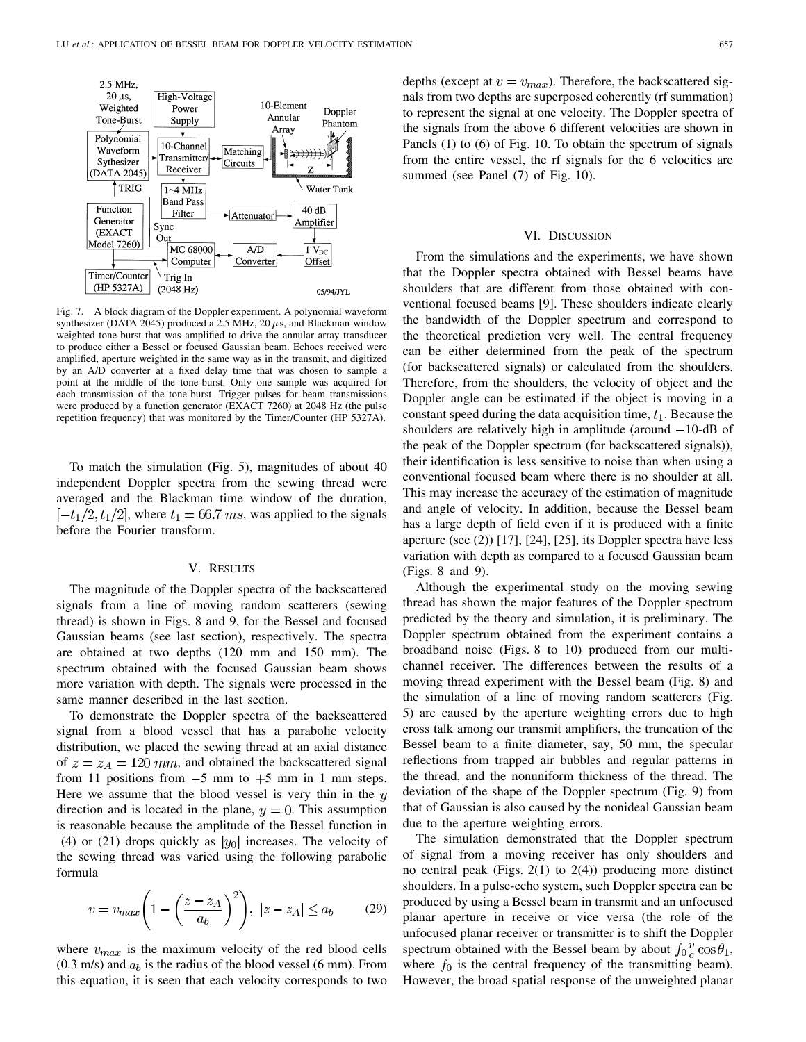

Fig. 7. A block diagram of the Doppler experiment. A polynomial waveform synthesizer (DATA 2045) produced a 2.5 MHz, 20  $\mu$ s, and Blackman-window weighted tone-burst that was amplified to drive the annular array transducer to produce either a Bessel or focused Gaussian beam. Echoes received were amplified, aperture weighted in the same way as in the transmit, and digitized by an A/D converter at a fixed delay time that was chosen to sample a point at the middle of the tone-burst. Only one sample was acquired for each transmission of the tone-burst. Trigger pulses for beam transmissions were produced by a function generator (EXACT 7260) at 2048 Hz (the pulse repetition frequency) that was monitored by the Timer/Counter (HP 5327A).

To match the simulation (Fig. 5), magnitudes of about 40 independent Doppler spectra from the sewing thread were averaged and the Blackman time window of the duration,  $[-t<sub>1</sub>/2, t<sub>1</sub>/2]$ , where  $t<sub>1</sub> = 66.7$  ms, was applied to the signals before the Fourier transform.

### V. RESULTS

The magnitude of the Doppler spectra of the backscattered signals from a line of moving random scatterers (sewing thread) is shown in Figs. 8 and 9, for the Bessel and focused Gaussian beams (see last section), respectively. The spectra are obtained at two depths (120 mm and 150 mm). The spectrum obtained with the focused Gaussian beam shows more variation with depth. The signals were processed in the same manner described in the last section.

To demonstrate the Doppler spectra of the backscattered signal from a blood vessel that has a parabolic velocity distribution, we placed the sewing thread at an axial distance of  $z = z_A = 120$  mm, and obtained the backscattered signal from 11 positions from  $-5$  mm to  $+5$  mm in 1 mm steps. Here we assume that the blood vessel is very thin in the  $y$ direction and is located in the plane,  $y = 0$ . This assumption is reasonable because the amplitude of the Bessel function in (4) or (21) drops quickly as  $|y_0|$  increases. The velocity of the sewing thread was varied using the following parabolic formula

$$
v = v_{max} \left( 1 - \left( \frac{z - z_A}{a_b} \right)^2 \right), \ |z - z_A| \le a_b \tag{29}
$$

where  $v_{max}$  is the maximum velocity of the red blood cells  $(0.3 \text{ m/s})$  and  $a_b$  is the radius of the blood vessel (6 mm). From this equation, it is seen that each velocity corresponds to two depths (except at  $v = v_{max}$ ). Therefore, the backscattered signals from two depths are superposed coherently (rf summation) to represent the signal at one velocity. The Doppler spectra of the signals from the above 6 different velocities are shown in Panels (1) to (6) of Fig. 10. To obtain the spectrum of signals from the entire vessel, the rf signals for the 6 velocities are summed (see Panel (7) of Fig. 10).

#### VI. DISCUSSION

From the simulations and the experiments, we have shown that the Doppler spectra obtained with Bessel beams have shoulders that are different from those obtained with conventional focused beams [9]. These shoulders indicate clearly the bandwidth of the Doppler spectrum and correspond to the theoretical prediction very well. The central frequency can be either determined from the peak of the spectrum (for backscattered signals) or calculated from the shoulders. Therefore, from the shoulders, the velocity of object and the Doppler angle can be estimated if the object is moving in a constant speed during the data acquisition time,  $t<sub>1</sub>$ . Because the shoulders are relatively high in amplitude (around  $-10$ -dB of the peak of the Doppler spectrum (for backscattered signals)), their identification is less sensitive to noise than when using a conventional focused beam where there is no shoulder at all. This may increase the accuracy of the estimation of magnitude and angle of velocity. In addition, because the Bessel beam has a large depth of field even if it is produced with a finite aperture (see (2)) [17], [24], [25], its Doppler spectra have less variation with depth as compared to a focused Gaussian beam (Figs. 8 and 9).

Although the experimental study on the moving sewing thread has shown the major features of the Doppler spectrum predicted by the theory and simulation, it is preliminary. The Doppler spectrum obtained from the experiment contains a broadband noise (Figs. 8 to 10) produced from our multichannel receiver. The differences between the results of a moving thread experiment with the Bessel beam (Fig. 8) and the simulation of a line of moving random scatterers (Fig. 5) are caused by the aperture weighting errors due to high cross talk among our transmit amplifiers, the truncation of the Bessel beam to a finite diameter, say, 50 mm, the specular reflections from trapped air bubbles and regular patterns in the thread, and the nonuniform thickness of the thread. The deviation of the shape of the Doppler spectrum (Fig. 9) from that of Gaussian is also caused by the nonideal Gaussian beam due to the aperture weighting errors.

The simulation demonstrated that the Doppler spectrum of signal from a moving receiver has only shoulders and no central peak (Figs. 2(1) to 2(4)) producing more distinct shoulders. In a pulse-echo system, such Doppler spectra can be produced by using a Bessel beam in transmit and an unfocused planar aperture in receive or vice versa (the role of the unfocused planar receiver or transmitter is to shift the Doppler spectrum obtained with the Bessel beam by about  $f_0\frac{v}{c}\cos\theta_1$ , where  $f_0$  is the central frequency of the transmitting beam). However, the broad spatial response of the unweighted planar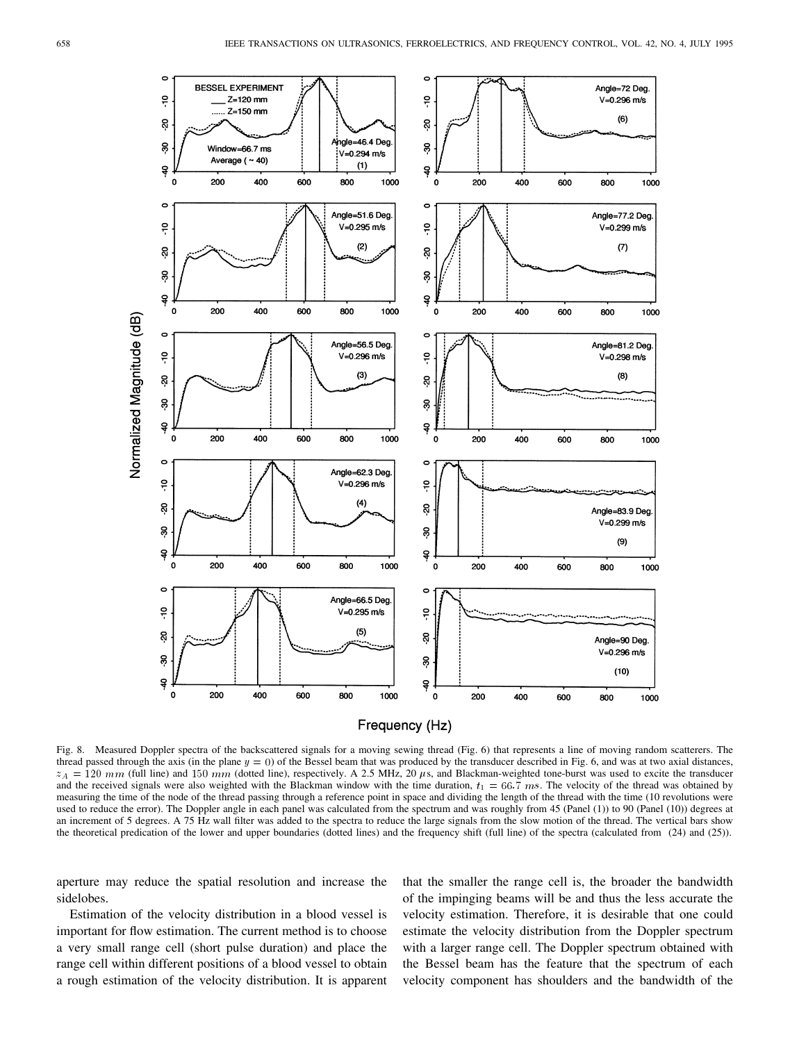

Fig. 8. Measured Doppler spectra of the backscattered signals for a moving sewing thread (Fig. 6) that represents a line of moving random scatterers. The thread passed through the axis (in the plane  $y = 0$ ) of the Bessel beam that was produced by the transducer described in Fig. 6, and was at two axial distances,  $z_A = 120$  mm (full line) and 150 mm (dotted line), respectively. A 2.5 MHz, 20  $\mu$ s, and Blackman-weighted tone-burst was used to excite the transducer and the received signals were also weighted with the Blackman window with the time duration,  $t_1 = 66.\overline{7}$  ms. The velocity of the thread was obtained by measuring the time of the node of the thread passing through a reference point in space and dividing the length of the thread with the time (10 revolutions were used to reduce the error). The Doppler angle in each panel was calculated from the spectrum and was roughly from 45 (Panel (1)) to 90 (Panel (10)) degrees at an increment of 5 degrees. A 75 Hz wall filter was added to the spectra to reduce the large signals from the slow motion of the thread. The vertical bars show the theoretical predication of the lower and upper boundaries (dotted lines) and the frequency shift (full line) of the spectra (calculated from (24) and (25)).

aperture may reduce the spatial resolution and increase the sidelobes.

Estimation of the velocity distribution in a blood vessel is important for flow estimation. The current method is to choose a very small range cell (short pulse duration) and place the range cell within different positions of a blood vessel to obtain a rough estimation of the velocity distribution. It is apparent that the smaller the range cell is, the broader the bandwidth of the impinging beams will be and thus the less accurate the velocity estimation. Therefore, it is desirable that one could estimate the velocity distribution from the Doppler spectrum with a larger range cell. The Doppler spectrum obtained with the Bessel beam has the feature that the spectrum of each velocity component has shoulders and the bandwidth of the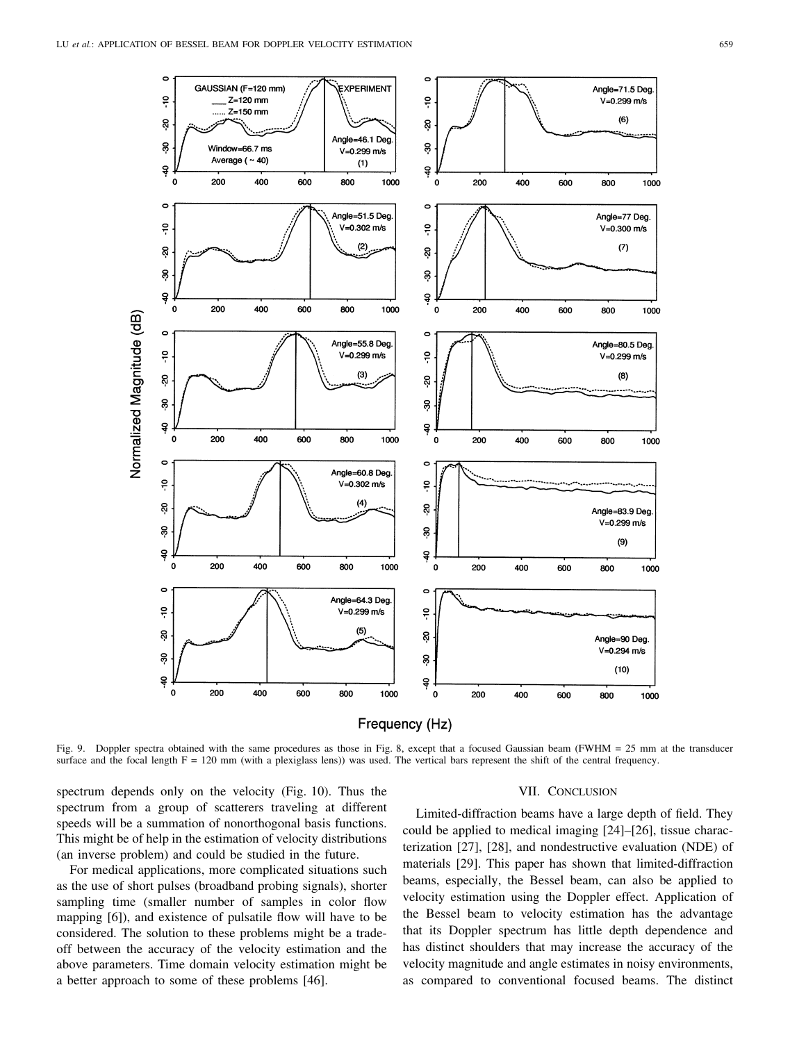



Fig. 9. Doppler spectra obtained with the same procedures as those in Fig. 8, except that a focused Gaussian beam (FWHM = 25 mm at the transducer surface and the focal length  $F = 120$  mm (with a plexiglass lens)) was used. The vertical bars represent the shift of the central frequency.

spectrum depends only on the velocity (Fig. 10). Thus the spectrum from a group of scatterers traveling at different speeds will be a summation of nonorthogonal basis functions. This might be of help in the estimation of velocity distributions (an inverse problem) and could be studied in the future.

For medical applications, more complicated situations such as the use of short pulses (broadband probing signals), shorter sampling time (smaller number of samples in color flow mapping [6]), and existence of pulsatile flow will have to be considered. The solution to these problems might be a tradeoff between the accuracy of the velocity estimation and the above parameters. Time domain velocity estimation might be a better approach to some of these problems [46].

#### VII. CONCLUSION

Limited-diffraction beams have a large depth of field. They could be applied to medical imaging [24]–[26], tissue characterization [27], [28], and nondestructive evaluation (NDE) of materials [29]. This paper has shown that limited-diffraction beams, especially, the Bessel beam, can also be applied to velocity estimation using the Doppler effect. Application of the Bessel beam to velocity estimation has the advantage that its Doppler spectrum has little depth dependence and has distinct shoulders that may increase the accuracy of the velocity magnitude and angle estimates in noisy environments, as compared to conventional focused beams. The distinct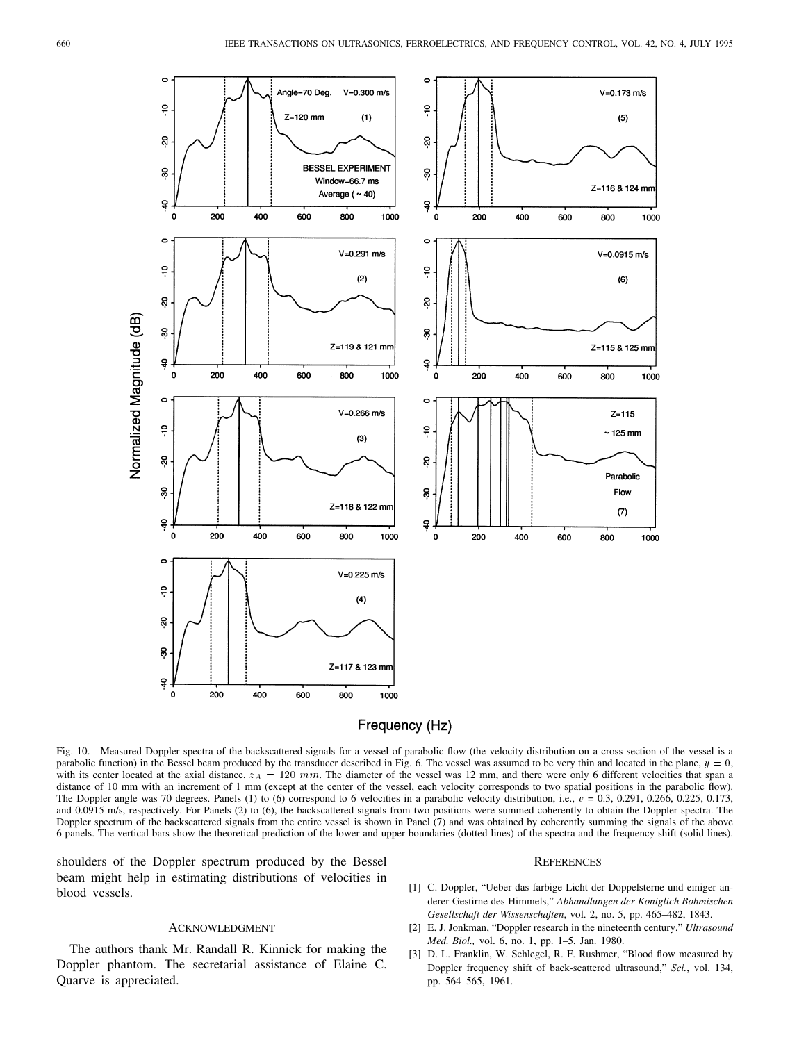

# Frequency (Hz)

Fig. 10. Measured Doppler spectra of the backscattered signals for a vessel of parabolic flow (the velocity distribution on a cross section of the vessel is a parabolic function) in the Bessel beam produced by the transducer described in Fig. 6. The vessel was assumed to be very thin and located in the plane,  $y = 0$ , with its center located at the axial distance,  $z_A = 120$  mm. The diameter of the vessel was 12 mm, and there were only 6 different velocities that span a distance of 10 mm with an increment of 1 mm (except at the center of the vessel, each velocity corresponds to two spatial positions in the parabolic flow). The Doppler angle was 70 degrees. Panels (1) to (6) correspond to 6 velocities in a parabolic velocity distribution, i.e.,  $v = 0.3, 0.291, 0.266, 0.225, 0.173,$ and 0.0915 m/s, respectively. For Panels (2) to (6), the backscattered signals from two positions were summed coherently to obtain the Doppler spectra. The Doppler spectrum of the backscattered signals from the entire vessel is shown in Panel (7) and was obtained by coherently summing the signals of the above 6 panels. The vertical bars show the theoretical prediction of the lower and upper boundaries (dotted lines) of the spectra and the frequency shift (solid lines).

shoulders of the Doppler spectrum produced by the Bessel beam might help in estimating distributions of velocities in blood vessels.

#### ACKNOWLEDGMENT

The authors thank Mr. Randall R. Kinnick for making the Doppler phantom. The secretarial assistance of Elaine C. Quarve is appreciated.

# **REFERENCES**

- [1] C. Doppler, "Ueber das farbige Licht der Doppelsterne und einiger anderer Gestirne des Himmels," *Abhandlungen der Koniglich Bohmischen Gesellschaft der Wissenschaften*, vol. 2, no. 5, pp. 465–482, 1843.
- [2] E. J. Jonkman, "Doppler research in the nineteenth century," *Ultrasound Med. Biol.,* vol. 6, no. 1, pp. 1–5, Jan. 1980.
- [3] D. L. Franklin, W. Schlegel, R. F. Rushmer, "Blood flow measured by Doppler frequency shift of back-scattered ultrasound," *Sci.*, vol. 134, pp. 564–565, 1961.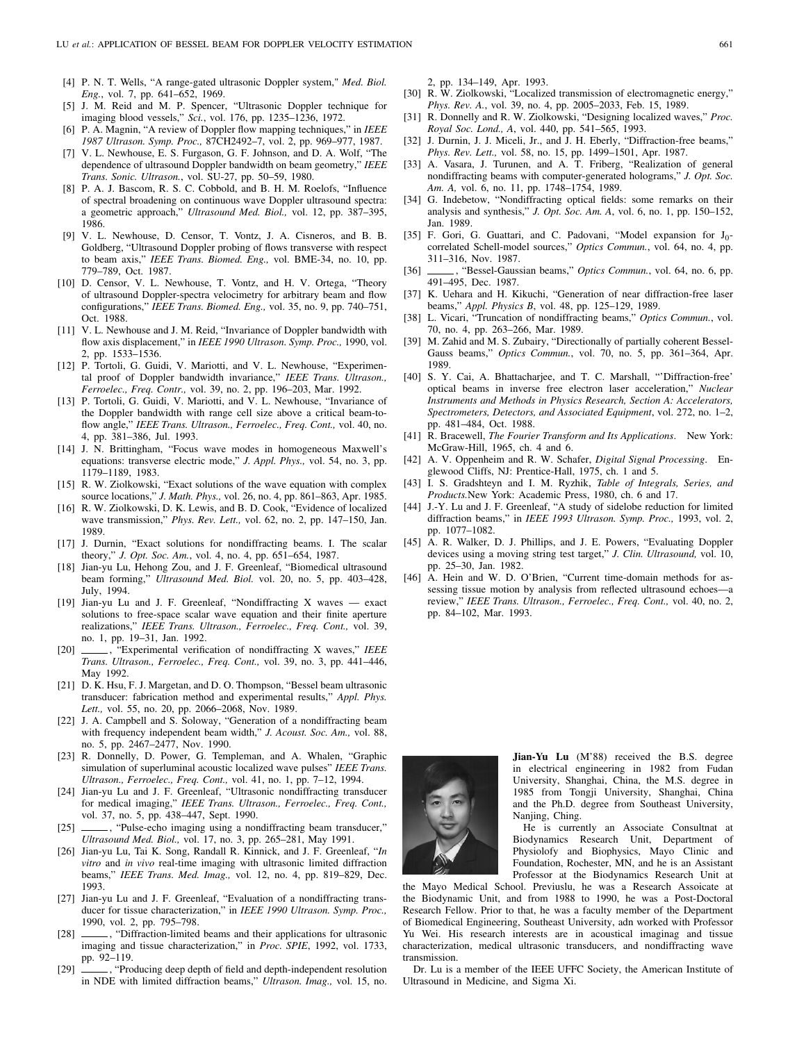- [4] P. N. T. Wells, "A range-gated ultrasonic Doppler system," *Med. Biol. Eng.*, vol. 7, pp. 641–652, 1969.
- [5] J. M. Reid and M. P. Spencer, "Ultrasonic Doppler technique for imaging blood vessels," *Sci.*, vol. 176, pp. 1235–1236, 1972.
- [6] P. A. Magnin, "A review of Doppler flow mapping techniques," in *IEEE 1987 Ultrason. Symp. Proc.,* 87CH2492–7, vol. 2, pp. 969–977, 1987.
- [7] V. L. Newhouse, E. S. Furgason, G. F. Johnson, and D. A. Wolf, "The dependence of ultrasound Doppler bandwidth on beam geometry," *IEEE Trans. Sonic. Ultrason.*, vol. SU-27, pp. 50–59, 1980.
- [8] P. A. J. Bascom, R. S. C. Cobbold, and B. H. M. Roelofs, "Influence of spectral broadening on continuous wave Doppler ultrasound spectra: a geometric approach," *Ultrasound Med. Biol.,* vol. 12, pp. 387–395, 1986.
- [9] V. L. Newhouse, D. Censor, T. Vontz, J. A. Cisneros, and B. B. Goldberg, "Ultrasound Doppler probing of flows transverse with respect to beam axis," *IEEE Trans. Biomed. Eng.,* vol. BME-34, no. 10, pp. 779–789, Oct. 1987.
- [10] D. Censor, V. L. Newhouse, T. Vontz, and H. V. Ortega, "Theory of ultrasound Doppler-spectra velocimetry for arbitrary beam and flow configurations," *IEEE Trans. Biomed. Eng.,* vol. 35, no. 9, pp. 740–751, Oct. 1988.
- [11] V. L. Newhouse and J. M. Reid, "Invariance of Doppler bandwidth with flow axis displacement," in *IEEE 1990 Ultrason. Symp. Proc.,* 1990, vol. 2, pp. 1533–1536.
- [12] P. Tortoli, G. Guidi, V. Mariotti, and V. L. Newhouse, "Experimental proof of Doppler bandwidth invariance," *IEEE Trans. Ultrason., Ferroelec., Freq. Contr.,* vol. 39, no. 2, pp. 196–203, Mar. 1992.
- [13] P. Tortoli, G. Guidi, V. Mariotti, and V. L. Newhouse, "Invariance of the Doppler bandwidth with range cell size above a critical beam-toflow angle," *IEEE Trans. Ultrason., Ferroelec., Freq. Cont.,* vol. 40, no. 4, pp. 381–386, Jul. 1993.
- [14] J. N. Brittingham, "Focus wave modes in homogeneous Maxwell's equations: transverse electric mode," *J. Appl. Phys.,* vol. 54, no. 3, pp. 1179–1189, 1983.
- [15] R. W. Ziolkowski, "Exact solutions of the wave equation with complex source locations," *J. Math. Phys.,* vol. 26, no. 4, pp. 861–863, Apr. 1985.
- [16] R. W. Ziolkowski, D. K. Lewis, and B. D. Cook, "Evidence of localized wave transmission," *Phys. Rev. Lett.,* vol. 62, no. 2, pp. 147–150, Jan. 1989.
- [17] J. Durnin, "Exact solutions for nondiffracting beams. I. The scalar theory," *J. Opt. Soc. Am.*, vol. 4, no. 4, pp. 651–654, 1987.
- [18] Jian-yu Lu, Hehong Zou, and J. F. Greenleaf, "Biomedical ultrasound beam forming," *Ultrasound Med. Biol.* vol. 20, no. 5, pp. 403–428, July, 1994.
- [19] Jian-yu Lu and J. F. Greenleaf, "Nondiffracting X waves exact solutions to free-space scalar wave equation and their finite aperture realizations," *IEEE Trans. Ultrason., Ferroelec., Freq. Cont.,* vol. 39, no. 1, pp. 19–31, Jan. 1992.
- [20] , "Experimental verification of nondiffracting X waves," *IEEE Trans. Ultrason., Ferroelec., Freq. Cont.,* vol. 39, no. 3, pp. 441–446, May 1992.
- [21] D. K. Hsu, F. J. Margetan, and D. O. Thompson, "Bessel beam ultrasonic transducer: fabrication method and experimental results," *Appl. Phys. Lett.,* vol. 55, no. 20, pp. 2066–2068, Nov. 1989.
- [22] J. A. Campbell and S. Soloway, "Generation of a nondiffracting beam with frequency independent beam width," *J. Acoust. Soc. Am.,* vol. 88, no. 5, pp. 2467–2477, Nov. 1990.
- [23] R. Donnelly, D. Power, G. Templeman, and A. Whalen, "Graphic simulation of superluminal acoustic localized wave pulses" *IEEE Trans. Ultrason., Ferroelec., Freq. Cont.,* vol. 41, no. 1, pp. 7–12, 1994.
- [24] Jian-yu Lu and J. F. Greenleaf, "Ultrasonic nondiffracting transducer for medical imaging," *IEEE Trans. Ultrason., Ferroelec., Freq. Cont.,* vol. 37, no. 5, pp. 438–447, Sept. 1990.
- [25] , "Pulse-echo imaging using a nondiffracting beam transducer," *Ultrasound Med. Biol.,* vol. 17, no. 3, pp. 265–281, May 1991.
- [26] Jian-yu Lu, Tai K. Song, Randall R. Kinnick, and J. F. Greenleaf, "*In vitro* and *in vivo* real-time imaging with ultrasonic limited diffraction beams," *IEEE Trans. Med. Imag.,* vol. 12, no. 4, pp. 819–829, Dec. 1993.
- [27] Jian-yu Lu and J. F. Greenleaf, "Evaluation of a nondiffracting transducer for tissue characterization," in *IEEE 1990 Ultrason. Symp. Proc.,* 1990, vol. 2, pp. 795–798.
- [28]  $\_\_\_\$ , "Diffraction-limited beams and their applications for ultrasonic imaging and tissue characterization," in *Proc. SPIE*, 1992, vol. 1733, pp. 92–119.
- [29]  $\_\_\_\$ , "Producing deep depth of field and depth-independent resolution in NDE with limited diffraction beams," *Ultrason. Imag.,* vol. 15, no.

2, pp. 134–149, Apr. 1993.

- [30] R. W. Ziolkowski, "Localized transmission of electromagnetic energy," *Phys. Rev. A.*, vol. 39, no. 4, pp. 2005–2033, Feb. 15, 1989.
- [31] R. Donnelly and R. W. Ziolkowski, "Designing localized waves," *Proc. Royal Soc. Lond., A*, vol. 440, pp. 541–565, 1993.
- [32] J. Durnin, J. J. Miceli, Jr., and J. H. Eberly, "Diffraction-free beams," *Phys. Rev. Lett.,* vol. 58, no. 15, pp. 1499–1501, Apr. 1987.
- [33] A. Vasara, J. Turunen, and A. T. Friberg, "Realization of general nondiffracting beams with computer-generated holograms," *J. Opt. Soc. Am. A,* vol. 6, no. 11, pp. 1748–1754, 1989.
- [34] G. Indebetow, "Nondiffracting optical fields: some remarks on their analysis and synthesis," *J. Opt. Soc. Am. A*, vol. 6, no. 1, pp. 150–152, Jan. 1989.
- [35] F. Gori, G. Guattari, and C. Padovani, "Model expansion for  $J_0$ correlated Schell-model sources," *Optics Commun.*, vol. 64, no. 4, pp. 311–316, Nov. 1987.
- [36] , "Bessel-Gaussian beams," *Optics Commun.*, vol. 64, no. 6, pp. 491–495, Dec. 1987.
- [37] K. Uehara and H. Kikuchi, "Generation of near diffraction-free laser beams," *Appl. Physics B*, vol. 48, pp. 125–129, 1989.
- [38] L. Vicari, "Truncation of nondiffracting beams," *Optics Commun.*, vol. 70, no. 4, pp. 263–266, Mar. 1989.
- [39] M. Zahid and M. S. Zubairy, "Directionally of partially coherent Bessel-Gauss beams," *Optics Commun.*, vol. 70, no. 5, pp. 361–364, Apr. 1989.
- [40] S. Y. Cai, A. Bhattacharjee, and T. C. Marshall, "'Diffraction-free' optical beams in inverse free electron laser acceleration," *Nuclear Instruments and Methods in Physics Research, Section A: Accelerators, Spectrometers, Detectors, and Associated Equipment*, vol. 272, no. 1–2, pp. 481–484, Oct. 1988.
- [41] R. Bracewell, *The Fourier Transform and Its Applications*. New York: McGraw-Hill, 1965, ch. 4 and 6.
- [42] A. V. Oppenheim and R. W. Schafer, *Digital Signal Processing*. Englewood Cliffs, NJ: Prentice-Hall, 1975, ch. 1 and 5.
- [43] I. S. Gradshteyn and I. M. Ryzhik, *Table of Integrals, Series, and Products.*New York: Academic Press, 1980, ch. 6 and 17.
- [44] J.-Y. Lu and J. F. Greenleaf, "A study of sidelobe reduction for limited diffraction beams," in *IEEE 1993 Ultrason. Symp. Proc.,* 1993, vol. 2, pp. 1077–1082.
- [45] A. R. Walker, D. J. Phillips, and J. E. Powers, "Evaluating Doppler devices using a moving string test target," *J. Clin. Ultrasound,* vol. 10, pp. 25–30, Jan. 1982.
- [46] A. Hein and W. D. O'Brien, "Current time-domain methods for assessing tissue motion by analysis from reflected ultrasound echoes—a review," *IEEE Trans. Ultrason., Ferroelec., Freq. Cont.,* vol. 40, no. 2, pp. 84–102, Mar. 1993.



**Jian-Yu Lu** (M'88) received the B.S. degree in electrical engineering in 1982 from Fudan University, Shanghai, China, the M.S. degree in 1985 from Tongji University, Shanghai, China and the Ph.D. degree from Southeast University, Nanjing, Ching.

He is currently an Associate Consultnat at Biodynamics Research Unit, Department of Physiolofy and Biophysics, Mayo Clinic and Foundation, Rochester, MN, and he is an Assistant Professor at the Biodynamics Research Unit at

the Mayo Medical School. Previuslu, he was a Research Assoicate at the Biodynamic Unit, and from 1988 to 1990, he was a Post-Doctoral Research Fellow. Prior to that, he was a faculty member of the Department of Biomedical Engineering, Southeast University, adn worked with Professor Yu Wei. His research interests are in acoustical imaginag and tissue characterization, medical ultrasonic transducers, and nondiffracting wave transmission.

Dr. Lu is a member of the IEEE UFFC Society, the American Institute of Ultrasound in Medicine, and Sigma Xi.